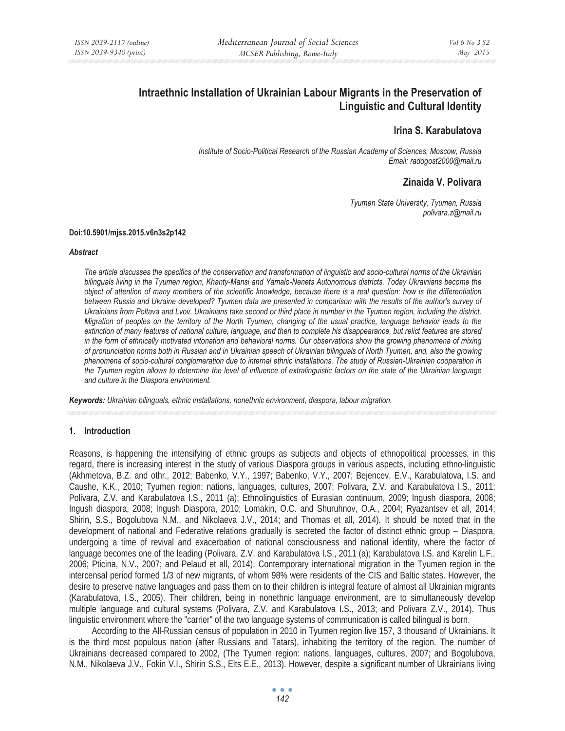# **Intraethnic Installation of Ukrainian Labour Migrants in the Preservation of Linguistic and Cultural Identity**

# **Irina S. Karabulatova**

*Institute of Socio-Political Research of the Russian Academy of Sciences, Moscow, Russia Email: radogost2000@mail.ru* 

# **Zinaida V. Polivara**

*Tyumen State University, Tyumen, Russia polivara.z@mail.ru* 

#### **Doi:10.5901/mjss.2015.v6n3s2p142**

#### *Abstract*

*The article discusses the specifics of the conservation and transformation of linguistic and socio-cultural norms of the Ukrainian bilinguals living in the Tyumen region, Khanty-Mansi and Yamalo-Nenets Autonomous districts. Today Ukrainians become the object of attention of many members of the scientific knowledge, because there is a real question: how is the differentiation*  between Russia and Ukraine developed? Tyumen data are presented in comparison with the results of the author's survey of *Ukrainians from Poltava and Lvov. Ukrainians take second or third place in number in the Tyumen region, including the district. Migration of peoples on the territory of the North Tyumen, changing of the usual practice, language behavior leads to the extinction of many features of national culture, language, and then to complete his disappearance, but relict features are stored in the form of ethnically motivated intonation and behavioral norms. Our observations show the growing phenomena of mixing of pronunciation norms both in Russian and in Ukrainian speech of Ukrainian bilinguals of North Tyumen, and, also the growing phenomena of socio-cultural conglomeration due to internal ethnic installations. The study of Russian-Ukrainian cooperation in the Tyumen region allows to determine the level of influence of extralinguistic factors on the state of the Ukrainian language and culture in the Diaspora environment.* 

*Keywords: Ukrainian bilinguals, ethnic installations, nonethnic environment, diaspora, labour migration.*

# **1. Introduction**

Reasons, is happening the intensifying of ethnic groups as subjects and objects of ethnopolitical processes, in this regard, there is increasing interest in the study of various Diaspora groups in various aspects, including ethno-linguistic (Akhmetova, B.Z. and othr., 2012; Babenko, V.Y., 1997; Babenko, V.Y., 2007; Bejencev, E.V., Karabulatova, I.S. and Caushe, K.K., 2010; Tyumen region: nations, languages, cultures, 2007; Polivara, Z.V. and Karabulatova I.S., 2011; Polivara, Z.V. and Karabulatova I.S., 2011 (a); Ethnolinguistics of Eurasian continuum, 2009; Ingush diaspora, 2008; Ingush diaspora, 2008; Ingush Diaspora, 2010; Lomakin, O.C. and Shuruhnov, O.A., 2004; Ryazantsev et all, 2014; Shirin, S.S., Bogolubova N.M., and Nikolaeva J.V., 2014; and Thomas et all, 2014). It should be noted that in the development of national and Federative relations gradually is secreted the factor of distinct ethnic group – Diaspora, undergoing a time of revival and exacerbation of national consciousness and national identity, where the factor of language becomes one of the leading (Polivara, Z.V. and Karabulatova I.S., 2011 (a); Karabulatova I.S. and Karelin L.F., 2006; Pticina, N.V., 2007; and Pelaud et all, 2014). Contemporary international migration in the Tyumen region in the intercensal period formed 1/3 of new migrants, of whom 98% were residents of the CIS and Baltic states. However, the desire to preserve native languages and pass them on to their children is integral feature of almost all Ukrainian migrants (Karabulatova, I.S., 2005). Their children, being in nonethnic language environment, are to simultaneously develop multiple language and cultural systems (Polivara, Z.V. and Karabulatova I.S., 2013; and Polivara Z.V., 2014). Thus linguistic environment where the "carrier" of the two language systems of communication is called bilingual is born.

According to the All-Russian census of population in 2010 in Tyumen region live 157, 3 thousand of Ukrainians. It is the third most populous nation (after Russians and Tatars), inhabiting the territory of the region. The number of Ukrainians decreased compared to 2002, (The Tyumen region: nations, languages, cultures, 2007; and Bogolubova, N.M., Nikolaeva J.V., Fokin V.I., Shirin S.S., Elts E.E., 2013). However, despite a significant number of Ukrainians living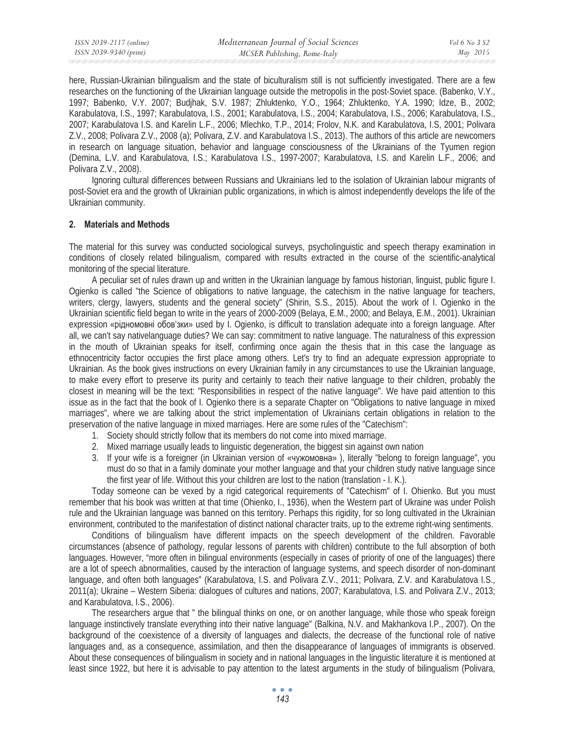| ISSN 2039-2117 (online) | Mediterranean Journal of Social Sciences | Vol 6 No 3 S2 |
|-------------------------|------------------------------------------|---------------|
| ISSN 2039-9340 (print)  | MCSER Publishing, Rome-Italy             | May 2015      |

here, Russian-Ukrainian bilingualism and the state of biculturalism still is not sufficiently investigated. There are a few researches on the functioning of the Ukrainian language outside the metropolis in the post-Soviet space. (Babenko, V.Y., 1997; Babenko, V.Y. 2007; Budjhak, S.V. 1987; Zhluktenko, Y.O., 1964; Zhluktenko, Y.A. 1990; Idze, B., 2002; Karabulatova, I.S., 1997; Karabulatova, I.S., 2001; Karabulatova, I.S., 2004; Karabulatova, I.S., 2006; Karabulatova, I.S., 2007; Karabulatova I.S. and Karelin L.F., 2006; Mlechko, T.P., 2014; Frolov, N.K. and Karabulatova, I.S, 2001; Polivara Z.V., 2008; Polivara Z.V., 2008 (a); Polivara, Z.V. and Karabulatova I.S., 2013). The authors of this article are newcomers in research on language situation, behavior and language consciousness of the Ukrainians of the Tyumen region (Demina, L.V. and Karabulatova, I.S.; Karabulatova I.S., 1997-2007; Karabulatova, I.S. and Karelin L.F., 2006; and Polivara Z.V., 2008).

Ignoring cultural differences between Russians and Ukrainians led to the isolation of Ukrainian labour migrants of post-Soviet era and the growth of Ukrainian public organizations, in which is almost independently develops the life of the Ukrainian community.

#### **2. Materials and Methods**

The material for this survey was conducted sociological surveys, psycholinguistic and speech therapy examination in conditions of closely related bilingualism, compared with results extracted in the course of the scientific-analytical monitoring of the special literature.

A peculiar set of rules drawn up and written in the Ukrainian language by famous historian, linguist, public figure I. Ogienko is called "the Science of obligations to native language, the catechism in the native language for teachers, writers, clergy, lawyers, students and the general society" (Shirin, S.S., 2015). About the work of I. Ogienko in the Ukrainian scientific field began to write in the years of 2000-2009 (Belaya, E.M., 2000; and Belaya, E.M., 2001). Ukrainian expression «рідномовні обов'зки» used by I. Ogienko, is difficult to translation adequate into a foreign language. After all, we can't say nativelanguage duties? We can say: commitment to native language. The naturalness of this expression in the mouth of Ukrainian speaks for itself, confirming once again the thesis that in this case the language as ethnocentricity factor occupies the first place among others. Let's try to find an adequate expression appropriate to Ukrainian. As the book gives instructions on every Ukrainian family in any circumstances to use the Ukrainian language, to make every effort to preserve its purity and certainly to teach their native language to their children, probably the closest in meaning will be the text: "Responsibilities in respect of the native language". We have paid attention to this issue as in the fact that the book of I. Ogienko there is a separate Chapter on "Obligations to native language in mixed marriages", where we are talking about the strict implementation of Ukrainians certain obligations in relation to the preservation of the native language in mixed marriages. Here are some rules of the "Catechism":

- 1. Society should strictly follow that its members do not come into mixed marriage.
- 2. Mixed marriage usually leads to linguistic degeneration, the biggest sin against own nation
- 3. If your wife is a foreigner (in Ukrainian version of «чужомовна»), literally "belong to foreign language", you must do so that in a family dominate your mother language and that your children study native language since the first year of life. Without this your children are lost to the nation (translation - I. K.).

Today someone can be vexed by a rigid categorical requirements of "Catechism" of I. Ohienko. But you must remember that his book was written at that time (Ohienko, I., 1936), when the Western part of Ukraine was under Polish rule and the Ukrainian language was banned on this territory. Perhaps this rigidity, for so long cultivated in the Ukrainian environment, contributed to the manifestation of distinct national character traits, up to the extreme right-wing sentiments.

Conditions of bilingualism have different impacts on the speech development of the children. Favorable circumstances (absence of pathology, regular lessons of parents with children) contribute to the full absorption of both languages. However, "more often in bilingual environments (especially in cases of priority of one of the languages) there are a lot of speech abnormalities, caused by the interaction of language systems, and speech disorder of non-dominant language, and often both languages" (Karabulatova, I.S. and Polivara Z.V., 2011; Polivara, Z.V. and Karabulatova I.S., 2011(a); Ukraine – Western Siberia: dialogues of cultures and nations, 2007; Karabulatova, I.S. and Polivara Z.V., 2013; and Karabulatova, I.S., 2006).

The researchers argue that " the bilingual thinks on one, or on another language, while those who speak foreign language instinctively translate everything into their native language" (Balkina, N.V. and Makhankova I.P., 2007). On the background of the coexistence of a diversity of languages and dialects, the decrease of the functional role of native languages and, as a consequence, assimilation, and then the disappearance of languages of immigrants is observed. About these consequences of bilingualism in society and in national languages in the linguistic literature it is mentioned at least since 1922, but here it is advisable to pay attention to the latest arguments in the study of bilingualism (Polivara,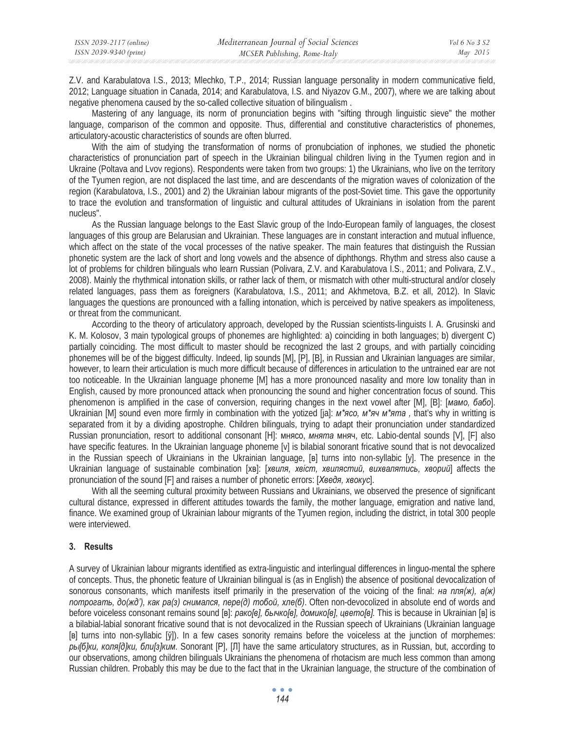Z.V. and Karabulatova I.S., 2013; Mlechko, T.P., 2014; Russian language personality in modern communicative field, 2012; Language situation in Canada, 2014; and Karabulatova, I.S. and Niyazov G.M., 2007), where we are talking about negative phenomena caused by the so-called collective situation of bilingualism .

Mastering of any language, its norm of pronunciation begins with "sifting through linguistic sieve" the mother language, comparison of the common and opposite. Thus, differential and constitutive characteristics of phonemes, articulatory-acoustic characteristics of sounds are often blurred.

With the aim of studying the transformation of norms of pronubciation of inphones, we studied the phonetic characteristics of pronunciation part of speech in the Ukrainian bilingual children living in the Tyumen region and in Ukraine (Poltava and Lvov regions). Respondents were taken from two groups: 1) the Ukrainians, who live on the territory of the Tyumen region, are not displaced the last time, and are descendants of the migration waves of colonization of the region (Karabulatova, I.S., 2001) and 2) the Ukrainian labour migrants of the post-Soviet time. This gave the opportunity to trace the evolution and transformation of linguistic and cultural attitudes of Ukrainians in isolation from the parent nucleus".

As the Russian language belongs to the East Slavic group of the Indo-European family of languages, the closest languages of this group are Belarusian and Ukrainian. These languages are in constant interaction and mutual influence, which affect on the state of the vocal processes of the native speaker. The main features that distinguish the Russian phonetic system are the lack of short and long vowels and the absence of diphthongs. Rhythm and stress also cause a lot of problems for children bilinguals who learn Russian (Polivara, Z.V. and Karabulatova I.S., 2011; and Polivara, Z.V., 2008). Mainly the rhythmical intonation skills, or rather lack of them, or mismatch with other multi-structural and/or closely related languages, pass them as foreigners (Karabulatova, I.S., 2011; and Akhmetova, B.Z. et all, 2012). In Slavic languages the questions are pronounced with a falling intonation, which is perceived by native speakers as impoliteness, or threat from the communicant.

According to the theory of articulatory approach, developed by the Russian scientists-linguists I. A. Grusinski and K. M. Kolosov, 3 main typological groups of phonemes are highlighted: a) coinciding in both languages; b) divergent C) partially coinciding. The most difficult to master should be recognized the last 2 groups, and with partially coinciding phonemes will be of the biggest difficulty. Indeed, lip sounds [M], [P], [B], in Russian and Ukrainian languages are similar, however, to learn their articulation is much more difficult because of differences in articulation to the untrained ear are not too noticeable. In the Ukrainian language phoneme [M] has a more pronounced nasality and more low tonality than in English, caused by more pronounced attack when pronouncing the sound and higher concentration focus of sound. This phenomenon is amplified in the case of conversion, requiring changes in the next vowel after [M], [B]: [MaMo, 6a6o]. Ukrainian [M] sound even more firmly in combination with the yotized [ja]: *м\*ясо, м\*яч м\*ята*, that's why in writting is separated from it by a dividing apostrophe. Children bilinguals, trying to adapt their pronunciation under standardized Russian pronunciation, resort to additional consonant [H]: мнясо, мнята мняч, etc. Labio-dental sounds [V], [F] also have specific features. In the Ukrainian language phoneme [v] is bilabial sonorant fricative sound that is not devocalized in the Russian speech of Ukrainians in the Ukrainian language, [ɜ] turns into non-syllabic [y]. The presence in the Ukrainian language of sustainable combination [ɯɜ]: [*ɯɜɢɥɹ, ɯɜiɫɬ, ɯɜɢɥɹɫɬɢɣ, ɜɢɯɜɚɥɹɬɢɫɶ, ɯɜɨɪɢɣ*] affects the pronunciation of the sound [F] and raises a number of phonetic errors: [*Xae∂я, xaokyc*].

With all the seeming cultural proximity between Russians and Ukrainians, we observed the presence of significant cultural distance, expressed in different attitudes towards the family, the mother language, emigration and native land, finance. We examined group of Ukrainian labour migrants of the Tyumen region, including the district, in total 300 people were interviewed.

# **3. Results**

A survey of Ukrainian labour migrants identified as extra-linguistic and interlingual differences in linguo-mental the sphere of concepts. Thus, the phonetic feature of Ukrainian bilingual is (as in English) the absence of positional devocalization of sonorous consonants, which manifests itself primarily in the preservation of the voicing of the final: *Ha nnn(x)*, *a(x)* потрогать, до(жд'), как ра(з) снимался, пере(д) тобой, хле(б). Often non-devocolized in absolute end of words and before voiceless consonant remains sound [в]: рако[в], бычко[в], домико[в], цвето[в]. This is because in Ukrainian [в] is a bilabial-labial sonorant fricative sound that is not devocalized in the Russian speech of Ukrainians (Ukrainian language [**B**] turns into non-syllabic [ $\check{y}$ ]). In a few cases sonority remains before the voiceless at the junction of morphemes: ры [б]ки, коля [д]ки, бли [з]ким. Sonorant [Р], [Л] have the same articulatory structures, as in Russian, but, according to our observations, among children bilinguals Ukrainians the phenomena of rhotacism are much less common than among Russian children. Probably this may be due to the fact that in the Ukrainian language, the structure of the combination of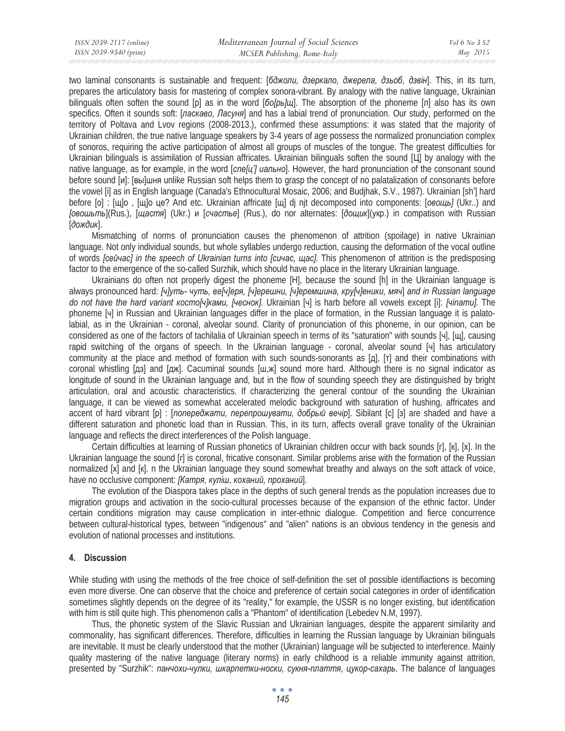two laminal consonants is sustainable and frequent: [бджоли, дзеркало, джерела, дзьоб, дзвін]. This, in its turn, prepares the articulatory basis for mastering of complex sonora-vibrant. By analogy with the native language, Ukrainian bilinguals often soften the sound [p] as in the word [*бо[рь]щ*]. The absorption of the phoneme [л] also has its own specifics. Often it sounds soft: [*ласкаво, Ласуня*] and has a labial trend of pronunciation. Our study, performed on the territory of Poltava and Lvov regions (2008-2013.), confirmed these assumptions: it was stated that the majority of Ukrainian children, the true native language speakers by 3-4 years of age possess the normalized pronunciation complex of sonoros, requiring the active participation of almost all groups of muscles of the tongue. The greatest difficulties for Ukrainian bilinguals is assimilation of Russian affricates. Ukrainian bilinguals soften the sound  $[**LI**]$  by analogy with the native language, as for example, in the word [*cne*[*u*'] иально]. However, the hard pronunciation of the consonant sound before sound [и]: [вы]шня unlike Russian soft helps them to grasp the concept of no palatalization of consonants before the vowel [i] as in English language (Canada's Ethnocultural Mosaic, 2006; and Budjhak, S.V., 1987). Ukrainian [sh'] hard before [o] : [щ]о, [щ]о це? And etc. Ukrainian affricate [щ] dj njt decomposed into components: [*овощь*] (Ukr..) and [овошьть](Rus.), [щастя] (Ukr.) и [счастье] (Rus.), do nor alternates: [дощик](укр.) in compatison with Russian **[дождик]**.

Mismatching of norms of pronunciation causes the phenomenon of attrition (spoilage) in native Ukrainian language. Not only individual sounds, but whole syllables undergo reduction, causing the deformation of the vocal outline of words *[ɫɟɣɱɚɫ] in the speech of Ukrainian turns into [ɫɢɱɚɫ, ɳɚɫ].* This phenomenon of attrition is the predisposing factor to the emergence of the so-called Surzhik, which should have no place in the literary Ukrainian language.

Ukrainians do often not properly digest the phoneme [H], because the sound [h] in the Ukrainian language is always pronounced hard: [ч]уть-чуть, ве[ч]еря, [ч]ерешни, [ч]еремшина, кру[ч]еники, мяч] and in Russian language  $do$  *not have the hard variant κοςmo[ч]κами, [чеснок]. Ukrainian [ч] is harb before all vowels except [i]: <i>[чinamu]*. The phoneme [ɱ] in Russian and Ukrainian languages differ in the place of formation, in the Russian language it is palatolabial, as in the Ukrainian - coronal, alveolar sound. Clarity of pronunciation of this phoneme, in our opinion, can be considered as one of the factors of tachilalia of Ukrainian speech in terms of its "saturation" with sounds [ɱ], [ɳ], causing rapid switching of the organs of speech. In the Ukrainian language - coronal, alveolar sound [ч] has articulatory community at the place and method of formation with such sounds-sonorants as  $\lbrack n \rbrack$ ,  $\lbrack r \rbrack$  and their combinations with coronal whistling  $[a, a]$  and  $[a, \kappa]$ . Cacuminal sounds  $[\mu, \kappa]$  sound more hard. Although there is no signal indicator as longitude of sound in the Ukrainian language and, but in the flow of sounding speech they are distinguished by bright articulation, oral and acoustic characteristics. If characterizing the general contour of the sounding the Ukrainian language, it can be viewed as somewhat accelerated melodic background with saturation of hushing, affricates and accent of hard vibrant [p] : [*попереджати, перепрошувати, добрый вечір*]. Sibilant [c] [з] are shaded and have a different saturation and phonetic load than in Russian. This, in its turn, affects overall grave tonality of the Ukrainian language and reflects the direct interferences of the Polish language.

Certain difficulties at learning of Russian phonetics of Ukrainian children occur with back sounds [r], [к], [x]. In the Ukrainian language the sound [r] is coronal, fricative consonant. Similar problems arise with the formation of the Russian normalized [x] and [k]. n the Ukrainian language they sound somewhat breathy and always on the soft attack of voice, have no occlusive component: [Катря, куліш, коханий, проханий].

The evolution of the Diaspora takes place in the depths of such general trends as the population increases due to migration groups and activation in the socio-cultural processes because of the expansion of the ethnic factor. Under certain conditions migration may cause complication in inter-ethnic dialogue. Competition and fierce concurrence between cultural-historical types, between "indigenous" and "alien" nations is an obvious tendency in the genesis and evolution of national processes and institutions.

# **4. Discussion**

While studing with using the methods of the free choice of self-definition the set of possible identifiactions is becoming even more diverse. One can observe that the choice and preference of certain social categories in order of identification sometimes slightly depends on the degree of its "reality," for example, the USSR is no longer existing, but identification with him is still quite high. This phenomenon calls a "Phantom" of identification (Lebedev N.M, 1997).

Thus, the phonetic system of the Slavic Russian and Ukrainian languages, despite the apparent similarity and commonality, has significant differences. Therefore, difficulties in learning the Russian language by Ukrainian bilinguals are inevitable. It must be clearly understood that the mother (Ukrainian) language will be subjected to interference. Mainly quality mastering of the native language (literary norms) in early childhood is a reliable immunity against attrition, presented by "Surzhik": панчохи-чулки, шкарпетки-носки, сукня-плаття, цукор-сахарь. The balance of languages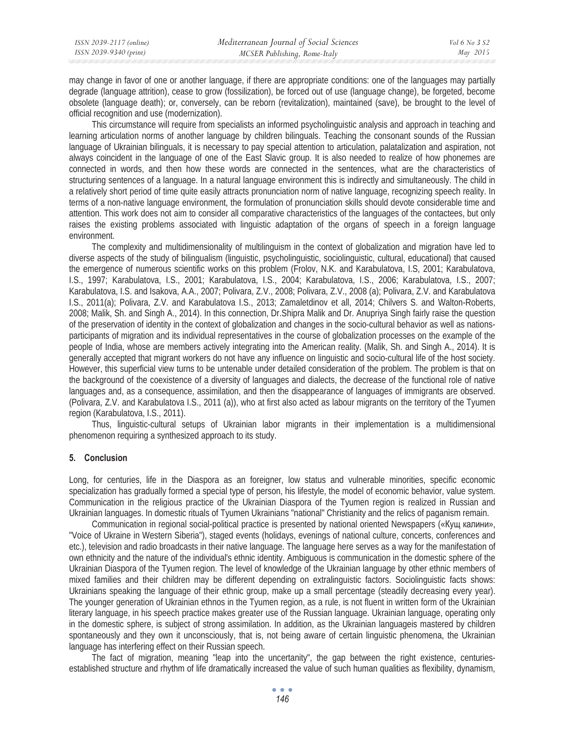| ISSN 2039-2117 (online) | Mediterranean Journal of Social Sciences | Vol 6 No 3 S2 |
|-------------------------|------------------------------------------|---------------|
| ISSN 2039-9340 (print)  | MCSER Publishing, Rome-Italy             | May 2015      |

may change in favor of one or another language, if there are appropriate conditions: one of the languages may partially degrade (language attrition), cease to grow (fossilization), be forced out of use (language change), be forgeted, become obsolete (language death); or, conversely, can be reborn (revitalization), maintained (save), be brought to the level of official recognition and use (modernization).

This circumstance will require from specialists an informed psycholinguistic analysis and approach in teaching and learning articulation norms of another language by children bilinguals. Teaching the consonant sounds of the Russian language of Ukrainian bilinguals, it is necessary to pay special attention to articulation, palatalization and aspiration, not always coincident in the language of one of the East Slavic group. It is also needed to realize of how phonemes are connected in words, and then how these words are connected in the sentences, what are the characteristics of structuring sentences of a language. In a natural language environment this is indirectly and simultaneously. The child in a relatively short period of time quite easily attracts pronunciation norm of native language, recognizing speech reality. In terms of a non-native language environment, the formulation of pronunciation skills should devote considerable time and attention. This work does not aim to consider all comparative characteristics of the languages of the contactees, but only raises the existing problems associated with linguistic adaptation of the organs of speech in a foreign language environment.

The complexity and multidimensionality of multilinguism in the context of globalization and migration have led to diverse aspects of the study of bilingualism (linguistic, psycholinguistic, sociolinguistic, cultural, educational) that caused the emergence of numerous scientific works on this problem (Frolov, N.K. and Karabulatova, I.S, 2001; Karabulatova, I.S., 1997; Karabulatova, I.S., 2001; Karabulatova, I.S., 2004; Karabulatova, I.S., 2006; Karabulatova, I.S., 2007; Karabulatova, I.S. and Isakova, A.A., 2007; Polivara, Z.V., 2008; Polivara, Z.V., 2008 (a); Polivara, Z.V. and Karabulatova I.S., 2011(a); Polivara, Z.V. and Karabulatova I.S., 2013; Zamaletdinov et all, 2014; Chilvers S. and Walton-Roberts, 2008; Malik, Sh. and Singh A., 2014). In this connection, Dr.Shipra Malik and Dr. Anupriya Singh fairly raise the question of the preservation of identity in the context of globalization and changes in the socio-cultural behavior as well as nationsparticipants of migration and its individual representatives in the course of globalization processes on the example of the people of India, whose are members actively integrating into the American reality. (Malik, Sh. and Singh A., 2014). It is generally accepted that migrant workers do not have any influence on linguistic and socio-cultural life of the host society. However, this superficial view turns to be untenable under detailed consideration of the problem. The problem is that on the background of the coexistence of a diversity of languages and dialects, the decrease of the functional role of native languages and, as a consequence, assimilation, and then the disappearance of languages of immigrants are observed. (Polivara, Z.V. and Karabulatova I.S., 2011 (a)), who at first also acted as labour migrants on the territory of the Tyumen region (Karabulatova, I.S., 2011).

Thus, linguistic-cultural setups of Ukrainian labor migrants in their implementation is a multidimensional phenomenon requiring a synthesized approach to its study.

#### **5. Conclusion**

Long, for centuries, life in the Diaspora as an foreigner, low status and vulnerable minorities, specific economic specialization has gradually formed a special type of person, his lifestyle, the model of economic behavior, value system. Communication in the religious practice of the Ukrainian Diaspora of the Tyumen region is realized in Russian and Ukrainian languages. In domestic rituals of Tyumen Ukrainians "national" Christianity and the relics of paganism remain.

Communication in regional social-political practice is presented by national oriented Newspapers («Кущ калини», "Voice of Ukraine in Western Siberia"), staged events (holidays, evenings of national culture, concerts, conferences and etc.), television and radio broadcasts in their native language. The language here serves as a way for the manifestation of own ethnicity and the nature of the individual's ethnic identity. Ambiguous is communication in the domestic sphere of the Ukrainian Diaspora of the Tyumen region. The level of knowledge of the Ukrainian language by other ethnic members of mixed families and their children may be different depending on extralinguistic factors. Sociolinguistic facts shows: Ukrainians speaking the language of their ethnic group, make up a small percentage (steadily decreasing every year). The younger generation of Ukrainian ethnos in the Tyumen region, as a rule, is not fluent in written form of the Ukrainian literary language, in his speech practice makes greater use of the Russian language. Ukrainian language, operating only in the domestic sphere, is subject of strong assimilation. In addition, as the Ukrainian languageis mastered by children spontaneously and they own it unconsciously, that is, not being aware of certain linguistic phenomena, the Ukrainian language has interfering effect on their Russian speech.

The fact of migration, meaning "leap into the uncertanity", the gap between the right existence, centuriesestablished structure and rhythm of life dramatically increased the value of such human qualities as flexibility, dynamism,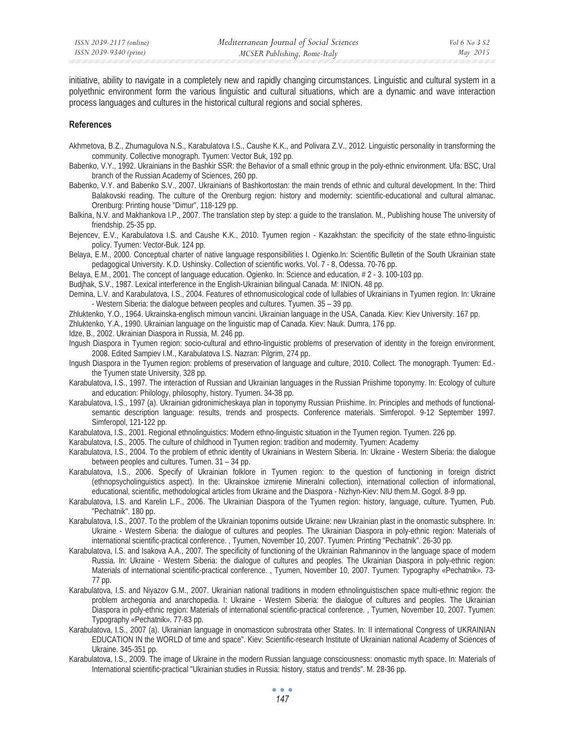initiative, ability to navigate in a completely new and rapidly changing circumstances. Linguistic and cultural system in a polyethnic environment form the various linguistic and cultural situations, which are a dynamic and wave interaction process languages and cultures in the historical cultural regions and social spheres.

### **References**

- Akhmetova, B.Z., Zhumagulova N.S., Karabulatova I.S., Caushe K.K., and Polivara Z.V., 2012. Linguistic personality in transforming the community. Collective monograph. Tyumen: Vector Buk, 192 pp.
- Babenko, V.Y., 1992. Ukrainians in the Bashkir SSR: the Behavior of a small ethnic group in the poly-ethnic environment. Ufa: BSC, Ural branch of the Russian Academy of Sciences, 260 pp.
- Babenko, V.Y. and Babenko S.V., 2007. Ukrainians of Bashkortostan: the main trends of ethnic and cultural development. In the: Third Balakovski reading. The culture of the Orenburg region: history and modernity: scientific-educational and cultural almanac. Orenburg: Printing house "Dimur", 118-129 pp.
- Balkina, N.V. and Makhankova I.P., 2007. The translation step by step: a guide to the translation. M., Publishing house The university of friendship. 25-35 pp.
- Bejencev, E.V., Karabulatova I.S. and Caushe K.K., 2010. Tyumen region Kazakhstan: the specificity of the state ethno-linguistic policy. Tyumen: Vector-Buk. 124 pp.
- Belaya, E.M., 2000. Conceptual charter of native language responsibilities I. Ogienko.In: Scientific Bulletin of the South Ukrainian state pedagogical University. K.D. Ushinsky. Collection of scientific works. Vol. 7 - 8, Odessa. 70-76 pp.
- Belaya, E.M., 2001. The concept of language education. Ogienko. In: Science and education, # 2 3. 100-103 pp.

Budjhak, S.V., 1987. Lexical interference in the English-Ukrainian bilingual Canada. M: INION. 48 pp.

- Demina, L.V. and Karabulatova, I.S., 2004. Features of ethnomusicological code of lullabies of Ukrainians in Tyumen region. In: Ukraine - Western Siberia: the dialogue between peoples and cultures. Tyumen. 35 – 39 pp.
- Zhluktenko, Y.O., 1964. Ukrainska-englisch mimoun vancini. Ukrainian language in the USA, Canada. Kiev: Kiev University. 167 pp.

Zhluktenko, Y.A., 1990. Ukrainian language on the linguistic map of Canada. Kiev: Nauk. Dumra, 176 pp.

- Idze, B., 2002. Ukrainian Diaspora in Russia, M. 246 pp.
- Ingush Diaspora in Tyumen region: socio-cultural and ethno-linguistic problems of preservation of identity in the foreign environment, 2008. Edited Sampiev I.M., Karabulatova I.S. Nazran: Pilgrim, 274 pp.
- Ingush Diaspora in the Tyumen region: problems of preservation of language and culture, 2010. Collect. The monograph. Tyumen: Ed. the Tyumen state University, 328 pp.
- Karabulatova, I.S., 1997. The interaction of Russian and Ukrainian languages in the Russian Priishime toponymy. In: Ecology of culture and education: Philology, philosophy, history. Tyumen. 34-38 pp.
- Karabulatova, I.S., 1997 (a). Ukrainian gidronimicheskaya plan in toponymy Russian Priishime. In: Principles and methods of functionalsemantic description language: results, trends and prospects. Conference materials. Simferopol. 9-12 September 1997. Simferopol, 121-122 pp.

Karabulatova, I.S., 2001. Regional ethnolinguistics: Modern ethno-linguistic situation in the Tyumen region. Tyumen. 226 pp.

- Karabulatova, I.S., 2005. The culture of childhood in Tyumen region: tradition and modernity. Tyumen: Academy
- Karabulatova, I.S., 2004. To the problem of ethnic identity of Ukrainians in Western Siberia. In: Ukraine Western Siberia: the dialogue between peoples and cultures. Tumen. 31 – 34 pp.
- Karabulatova, I.S., 2006. Specify of Ukrainian folklore in Tyumen region: to the question of functioning in foreign district (ethnopsycholinguistics aspect). In the: Ukrainskoe izmirenie Mineralni collection), international collection of informational, educational, scientific, methodological articles from Ukraine and the Diaspora - Nizhyn-Kiev: NIU them.M. Gogol. 8-9 pp.
- Karabulatova, I.S. and Karelin L.F., 2006. The Ukrainian Diaspora of the Tyumen region: history, language, culture. Tyumen, Pub. "Pechatnik". 180 pp.
- Karabulatova, I.S., 2007. To the problem of the Ukrainian toponims outside Ukraine: new Ukrainian plast in the onomastic subsphere. In: Ukraine - Western Siberia: the dialogue of cultures and peoples. The Ukrainian Diaspora in poly-ethnic region: Materials of international scientific-practical conference. , Tyumen, November 10, 2007. Tyumen: Printing "Pechatnik". 26-30 pp.
- Karabulatova, I.S. and Isakova A.A., 2007. The specificity of functioning of the Ukrainian Rahmaninov in the language space of modern Russia. In: Ukraine - Western Siberia: the dialogue of cultures and peoples. The Ukrainian Diaspora in poly-ethnic region: Materials of international scientific-practical conference. , Tyumen, November 10, 2007. Tyumen: Typography «Pechatnik». 73- 77 pp.
- Karabulatova, I.S. and Niyazov G.M., 2007. Ukrainian national traditions in modern ethnolinguistischen space multi-ethnic region: the problem archegonia and anarchopedia. I: Ukraine - Western Siberia: the dialogue of cultures and peoples. The Ukrainian Diaspora in poly-ethnic region: Materials of international scientific-practical conference. , Tyumen, November 10, 2007. Tyumen: Typography «Pechatnik». 77-83 pp.
- Karabulatova, I.S., 2007 (a). Ukrainian language in onomasticon subrostrata other States. In: II international Congress of UKRAINIAN EDUCATION IN the WORLD of time and space". Kiev: Scientific-research Institute of Ukrainian national Academy of Sciences of Ukraine. 345-351 pp.
- Karabulatova, I.S., 2009. The image of Ukraine in the modern Russian language consciousness: onomastic myth space. In: Materials of International scientific-practical "Ukrainian studies in Russia: history, status and trends". M. 28-36 pp.